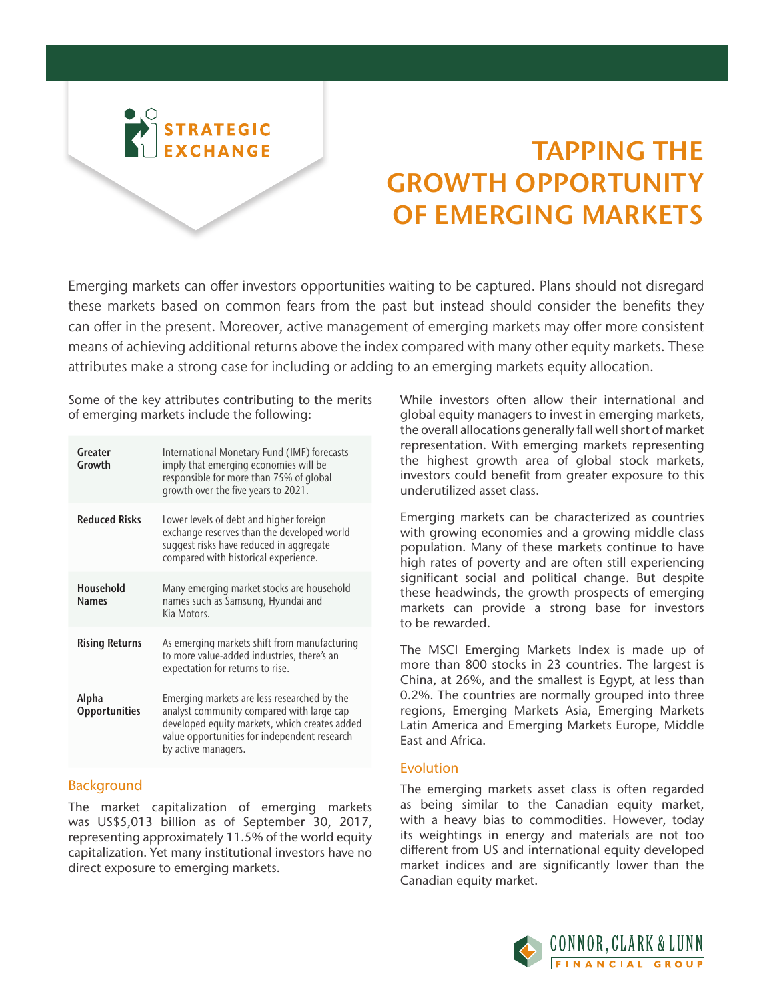

# TAPPING THE GROWTH OPPORTUNITY OF EMERGING MARKETS

Emerging markets can offer investors opportunities waiting to be captured. Plans should not disregard these markets based on common fears from the past but instead should consider the benefits they can offer in the present. Moreover, active management of emerging markets may offer more consistent means of achieving additional returns above the index compared with many other equity markets. These attributes make a strong case for including or adding to an emerging markets equity allocation.

Some of the key attributes contributing to the merits of emerging markets include the following:

| Greater<br>Growth             | International Monetary Fund (IMF) forecasts<br>imply that emerging economies will be<br>responsible for more than 75% of global<br>growth over the five years to 2021.                                           |
|-------------------------------|------------------------------------------------------------------------------------------------------------------------------------------------------------------------------------------------------------------|
| <b>Reduced Risks</b>          | Lower levels of debt and higher foreign<br>exchange reserves than the developed world<br>suggest risks have reduced in aggregate<br>compared with historical experience.                                         |
| Household<br><b>Names</b>     | Many emerging market stocks are household<br>names such as Samsung, Hyundai and<br>Kia Motors.                                                                                                                   |
| <b>Rising Returns</b>         | As emerging markets shift from manufacturing<br>to more value-added industries, there's an<br>expectation for returns to rise.                                                                                   |
| Alpha<br><b>Opportunities</b> | Emerging markets are less researched by the<br>analyst community compared with large cap<br>developed equity markets, which creates added<br>value opportunities for independent research<br>by active managers. |

# **Background**

The market capitalization of emerging markets was US\$5,013 billion as of September 30, 2017, representing approximately 11.5% of the world equity capitalization. Yet many institutional investors have no direct exposure to emerging markets.

While investors often allow their international and global equity managers to invest in emerging markets, the overall allocations generally fall well short of market representation. With emerging markets representing the highest growth area of global stock markets, investors could benefit from greater exposure to this underutilized asset class.

Emerging markets can be characterized as countries with growing economies and a growing middle class population. Many of these markets continue to have high rates of poverty and are often still experiencing significant social and political change. But despite these headwinds, the growth prospects of emerging markets can provide a strong base for investors to be rewarded.

The MSCI Emerging Markets Index is made up of more than 800 stocks in 23 countries. The largest is China, at 26%, and the smallest is Egypt, at less than 0.2%. The countries are normally grouped into three regions, Emerging Markets Asia, Emerging Markets Latin America and Emerging Markets Europe, Middle East and Africa.

# Evolution

The emerging markets asset class is often regarded as being similar to the Canadian equity market, with a heavy bias to commodities. However, today its weightings in energy and materials are not too different from US and international equity developed market indices and are significantly lower than the Canadian equity market.

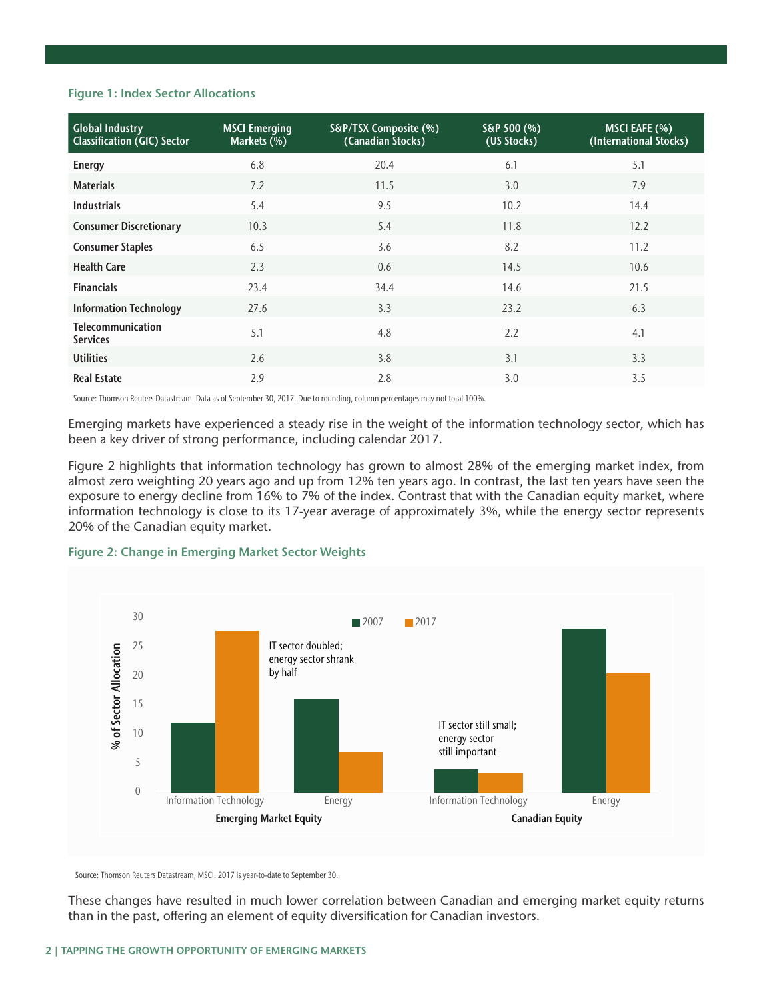#### Figure 1: Index Sector Allocations

| <b>Global Industry</b><br><b>Classification (GIC) Sector</b> | <b>MSCI Emerging</b><br>Markets (%) | S&P/TSX Composite (%)<br>(Canadian Stocks) | $S\&P 500$ (%)<br>(US Stocks) | MSCI EAFE (%)<br>(International Stocks) |
|--------------------------------------------------------------|-------------------------------------|--------------------------------------------|-------------------------------|-----------------------------------------|
| <b>Energy</b>                                                | 6.8                                 | 20.4                                       | 6.1                           | 5.1                                     |
| <b>Materials</b>                                             | 7.2                                 | 11.5                                       | 3.0                           | 7.9                                     |
| <b>Industrials</b>                                           | 5.4                                 | 9.5                                        | 10.2                          | 14.4                                    |
| <b>Consumer Discretionary</b>                                | 10.3                                | 5.4                                        | 11.8                          | 12.2                                    |
| <b>Consumer Staples</b>                                      | 6.5                                 | 3.6                                        | 8.2                           | 11.2                                    |
| <b>Health Care</b>                                           | 2.3                                 | 0.6                                        | 14.5                          | 10.6                                    |
| <b>Financials</b>                                            | 23.4                                | 34.4                                       | 14.6                          | 21.5                                    |
| <b>Information Technology</b>                                | 27.6                                | 3.3                                        | 23.2                          | 6.3                                     |
| <b>Telecommunication</b><br><b>Services</b>                  | 5.1                                 | 4.8                                        | 2.2                           | 4.1                                     |
| <b>Utilities</b>                                             | 2.6                                 | 3.8                                        | 3.1                           | 3.3                                     |
| <b>Real Estate</b>                                           | 2.9                                 | 2.8                                        | 3.0                           | 3.5                                     |

Source: Thomson Reuters Datastream. Data as of September 30, 2017. Due to rounding, column percentages may not total 100%.

Emerging markets have experienced a steady rise in the weight of the information technology sector, which has been a key driver of strong performance, including calendar 2017.

Figure 2 highlights that information technology has grown to almost 28% of the emerging market index, from almost zero weighting 20 years ago and up from 12% ten years ago. In contrast, the last ten years have seen the exposure to energy decline from 16% to 7% of the index. Contrast that with the Canadian equity market, where information technology is close to its 17-year average of approximately 3%, while the energy sector represents 20% of the Canadian equity market.

# Figure 2: Change in Emerging Market Sector Weights



Source: Thomson Reuters Datastream, MSCI. 2017 is year-to-date to September 30.

These changes have resulted in much lower correlation between Canadian and emerging market equity returns than in the past, offering an element of equity diversification for Canadian investors.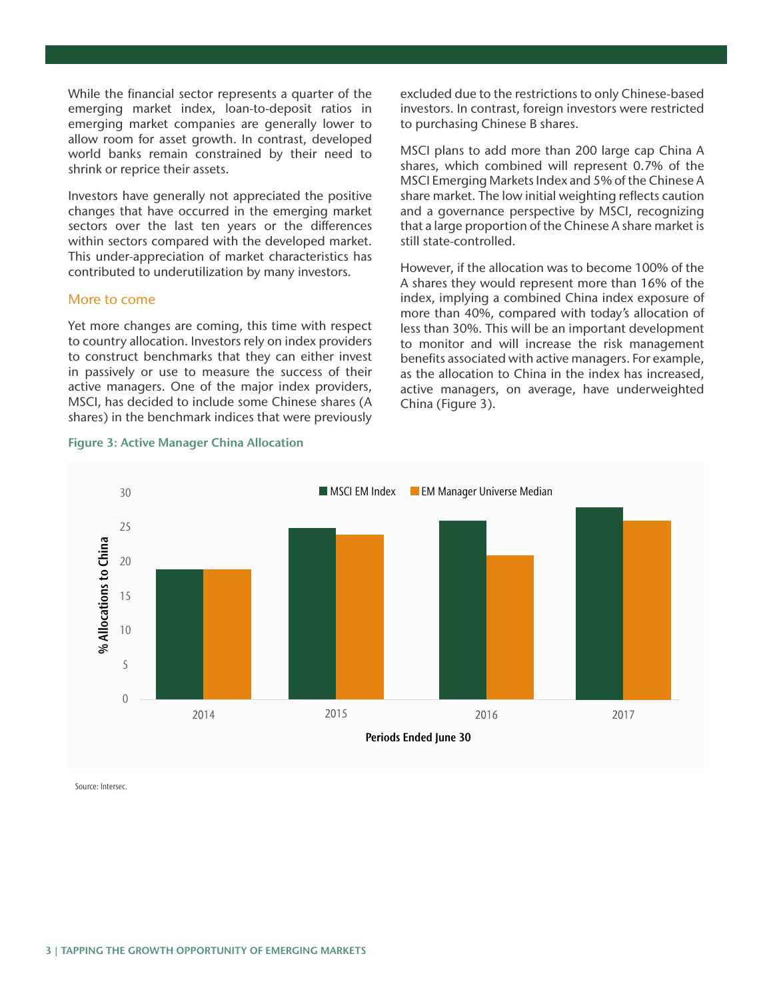While the financial sector represents a quarter of the emerging market index, loan-to-deposit ratios in emerging market companies are generally lower to allow room for asset growth. In contrast, developed world banks remain constrained by their need to shrink or reprice their assets.

Investors have generally not appreciated the positive changes that have occurred in the emerging market sectors over the last ten years or the differences within sectors compared with the developed market. This under-appreciation of market characteristics has contributed to underutilization by many investors.

#### More to come

Yet more changes are coming, this time with respect to country allocation. Investors rely on index providers to construct benchmarks that they can either invest in passively or use to measure the success of their active managers. One of the major index providers, MSCI, has decided to include some Chinese shares (A shares) in the benchmark indices that were previously

#### Figure 3: Active Manager China Allocation

excluded due to the restrictions to only Chinese-based investors. In contrast, foreign investors were restricted to purchasing Chinese B shares.

MSCI plans to add more than 200 large cap China A shares, which combined will represent 0.7% of the MSCI Emerging Markets Index and 5% of the Chinese A share market. The low initial weighting reflects caution and a governance perspective by MSCI, recognizing that a large proportion of the Chinese A share market is still state-controlled.

However, if the allocation was to become 100% of the A shares they would represent more than 16% of the index, implying a combined China index exposure of more than 40%, compared with today's allocation of less than 30%. This will be an important development to monitor and will increase the risk management benefits associated with active managers. For example, as the allocation to China in the index has increased, active managers, on average, have underweighted China (Figure 3).



Source: Intersec.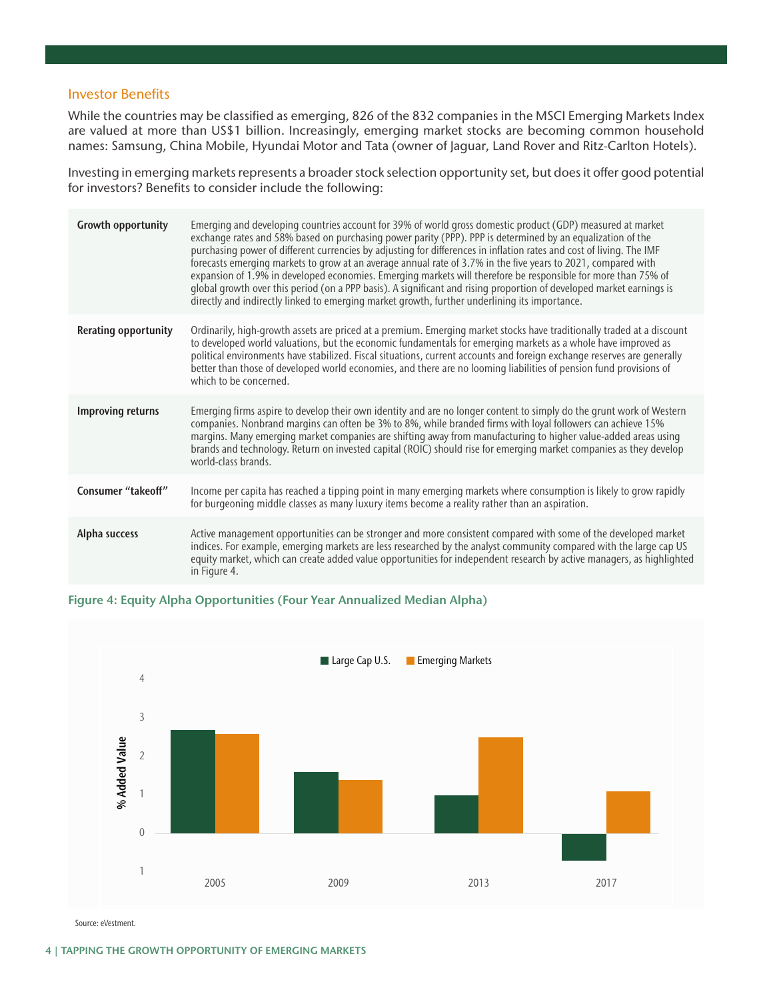# Investor Benefits

While the countries may be classified as emerging, 826 of the 832 companies in the MSCI Emerging Markets Index are valued at more than US\$1 billion. Increasingly, emerging market stocks are becoming common household names: Samsung, China Mobile, Hyundai Motor and Tata (owner of Jaguar, Land Rover and Ritz-Carlton Hotels).

Investing in emerging markets represents a broader stock selection opportunity set, but does it offer good potential for investors? Benefits to consider include the following:

| <b>Growth opportunity</b>   | Emerging and developing countries account for 39% of world gross domestic product (GDP) measured at market<br>exchange rates and 58% based on purchasing power parity (PPP). PPP is determined by an equalization of the<br>purchasing power of different currencies by adjusting for differences in inflation rates and cost of living. The IMF<br>forecasts emerging markets to grow at an average annual rate of 3.7% in the five years to 2021, compared with<br>expansion of 1.9% in developed economies. Emerging markets will therefore be responsible for more than 75% of<br>global growth over this period (on a PPP basis). A significant and rising proportion of developed market earnings is<br>directly and indirectly linked to emerging market growth, further underlining its importance. |
|-----------------------------|-------------------------------------------------------------------------------------------------------------------------------------------------------------------------------------------------------------------------------------------------------------------------------------------------------------------------------------------------------------------------------------------------------------------------------------------------------------------------------------------------------------------------------------------------------------------------------------------------------------------------------------------------------------------------------------------------------------------------------------------------------------------------------------------------------------|
| <b>Rerating opportunity</b> | Ordinarily, high-growth assets are priced at a premium. Emerging market stocks have traditionally traded at a discount<br>to developed world valuations, but the economic fundamentals for emerging markets as a whole have improved as<br>political environments have stabilized. Fiscal situations, current accounts and foreign exchange reserves are generally<br>better than those of developed world economies, and there are no looming liabilities of pension fund provisions of<br>which to be concerned.                                                                                                                                                                                                                                                                                          |
| <b>Improving returns</b>    | Emerging firms aspire to develop their own identity and are no longer content to simply do the grunt work of Western<br>companies. Nonbrand margins can often be 3% to 8%, while branded firms with loyal followers can achieve 15%<br>margins. Many emerging market companies are shifting away from manufacturing to higher value-added areas using<br>brands and technology. Return on invested capital (ROIC) should rise for emerging market companies as they develop<br>world-class brands.                                                                                                                                                                                                                                                                                                          |
| Consumer "takeoff"          | Income per capita has reached a tipping point in many emerging markets where consumption is likely to grow rapidly<br>for burgeoning middle classes as many luxury items become a reality rather than an aspiration.                                                                                                                                                                                                                                                                                                                                                                                                                                                                                                                                                                                        |
| Alpha success               | Active management opportunities can be stronger and more consistent compared with some of the developed market<br>indices. For example, emerging markets are less researched by the analyst community compared with the large cap US<br>equity market, which can create added value opportunities for independent research by active managers, as highlighted<br>in Figure 4.                                                                                                                                                                                                                                                                                                                                                                                                                               |

#### Figure 4: Equity Alpha Opportunities (Four Year Annualized Median Alpha)



Source: eVestment.